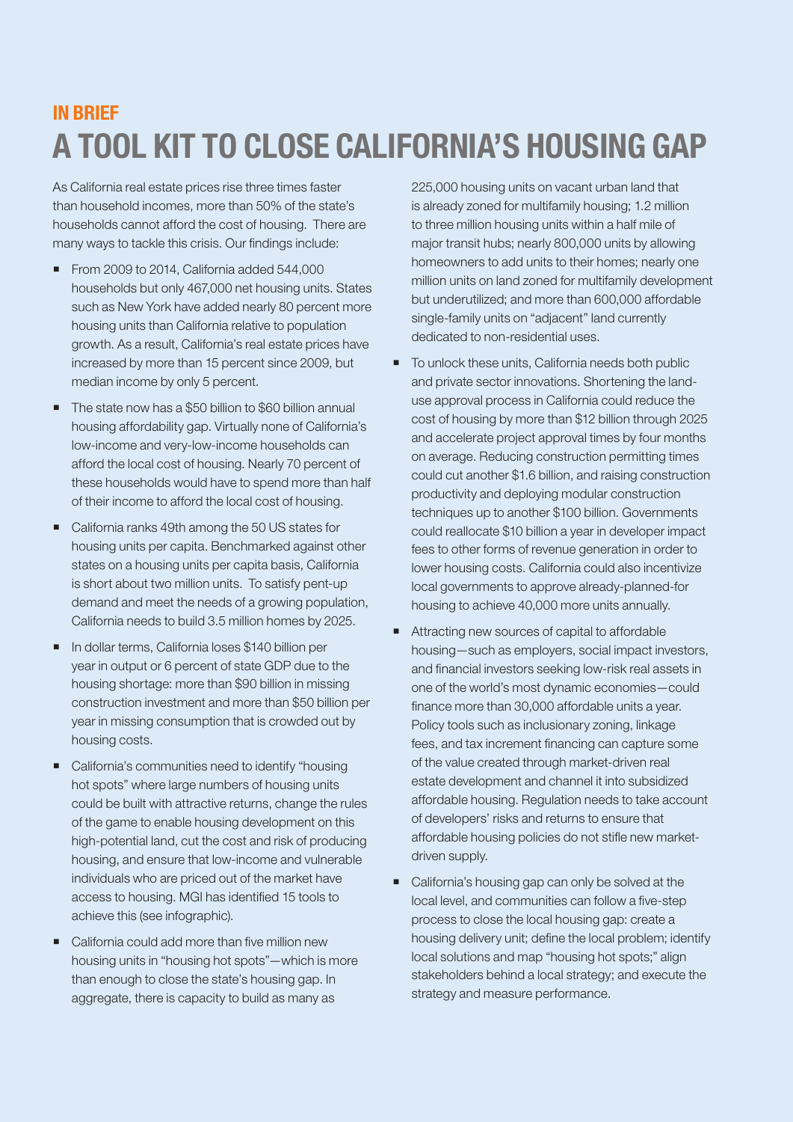## **IN RRIFF** A TOOL KIT TO CLOSE CALIFORNIA'S HOUSING GAP

As California real estate prices rise three times faster than household incomes, more than 50% of the state's households cannot afford the cost of housing. There are many ways to tackle this crisis. Our findings include:

- From 2009 to 2014, California added 544,000 households but only 467,000 net housing units. States such as New York have added nearly 80 percent more housing units than California relative to population growth. As a result, California's real estate prices have increased by more than 15 percent since 2009, but median income by only 5 percent.
- The state now has a \$50 billion to \$60 billion annual housing affordability gap. Virtually none of California's low-income and very-low-income households can afford the local cost of housing. Nearly 70 percent of these households would have to spend more than half of their income to afford the local cost of housing.
- California ranks 49th among the 50 US states for housing units per capita. Benchmarked against other states on a housing units per capita basis, California is short about two million units. To satisfy pent-up demand and meet the needs of a growing population, California needs to build 3.5 million homes by 2025.
- In dollar terms, California loses \$140 billion per year in output or 6 percent of state GDP due to the housing shortage: more than \$90 billion in missing construction investment and more than \$50 billion per year in missing consumption that is crowded out by housing costs.
- California's communities need to identify "housing hot spots" where large numbers of housing units could be built with attractive returns, change the rules of the game to enable housing development on this high-potential land, cut the cost and risk of producing housing, and ensure that low-income and vulnerable individuals who are priced out of the market have access to housing. MGI has identified 15 tools to achieve this (see infographic).
- California could add more than five million new housing units in "housing hot spots"—which is more than enough to close the state's housing gap. In aggregate, there is capacity to build as many as

225,000 housing units on vacant urban land that is already zoned for multifamily housing; 1.2 million to three million housing units within a half mile of major transit hubs; nearly 800,000 units by allowing homeowners to add units to their homes; nearly one million units on land zoned for multifamily development but underutilized; and more than 600,000 affordable single-family units on "adjacent" land currently dedicated to non-residential uses.

- To unlock these units, California needs both public and private sector innovations. Shortening the landuse approval process in California could reduce the cost of housing by more than \$12 billion through 2025 and accelerate project approval times by four months on average. Reducing construction permitting times could cut another \$1.6 billion, and raising construction productivity and deploying modular construction techniques up to another \$100 billion. Governments could reallocate \$10 billion a year in developer impact fees to other forms of revenue generation in order to lower housing costs. California could also incentivize local governments to approve already-planned-for housing to achieve 40,000 more units annually.
- Attracting new sources of capital to affordable housing—such as employers, social impact investors, and financial investors seeking low-risk real assets in one of the world's most dynamic economies—could finance more than 30,000 affordable units a year. Policy tools such as inclusionary zoning, linkage fees, and tax increment financing can capture some of the value created through market-driven real estate development and channel it into subsidized affordable housing. Regulation needs to take account of developers' risks and returns to ensure that affordable housing policies do not stifle new marketdriven supply.
- California's housing gap can only be solved at the local level, and communities can follow a five-step process to close the local housing gap: create a housing delivery unit; define the local problem; identify local solutions and map "housing hot spots;" align stakeholders behind a local strategy; and execute the strategy and measure performance.